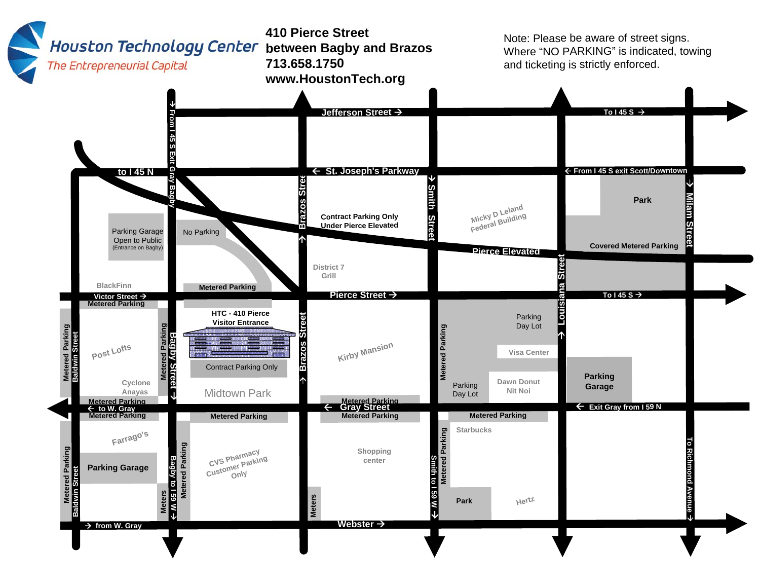